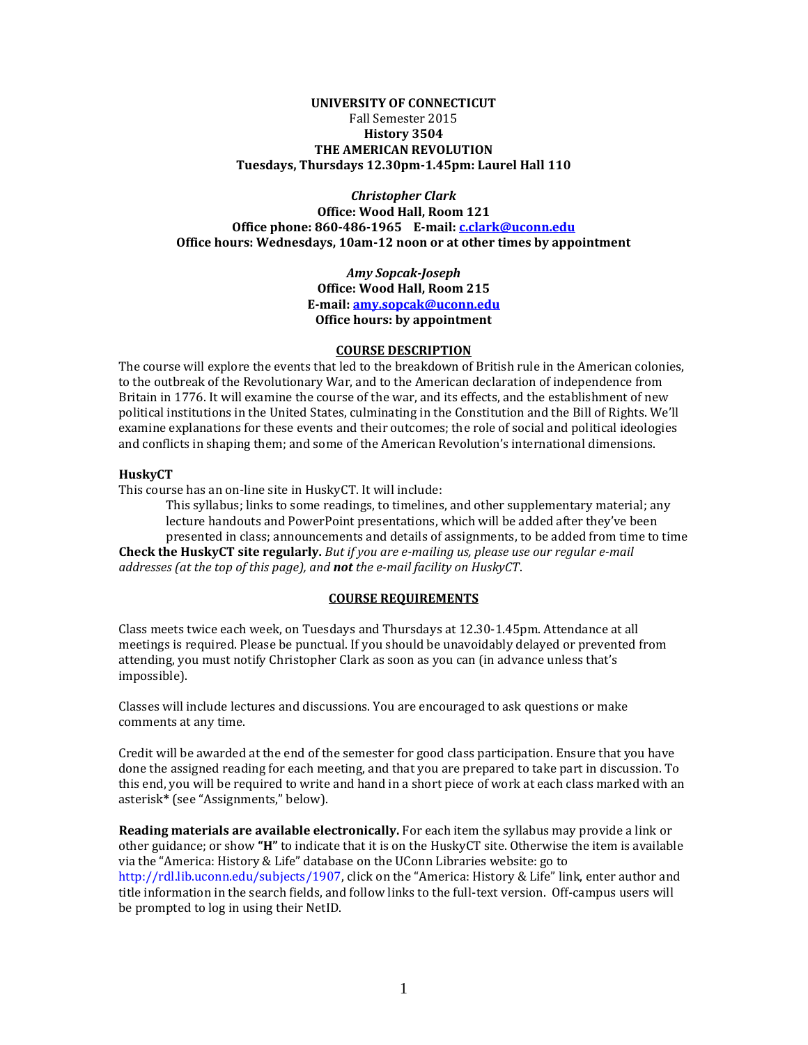## **UNIVERSITY OF CONNECTICUT** Fall Semester 2015 **History 3504 THE AMERICAN REVOLUTION Tuesdays, Thursdays 12.30pm-1.45pm: Laurel Hall 110**

*Christopher Clark* **Office: Wood Hall, Room 121 Office phone: 860-486-1965 E-mail: [c.clark@uconn.edu](mailto:c.clark@uconn.edu) Office hours: Wednesdays, 10am-12 noon or at other times by appointment**

> *Amy Sopcak-Joseph* **Office: Wood Hall, Room 215 E-mail: [amy.sopcak@uconn.edu](mailto:amy.sopcak@uconn.edu) Office hours: by appointment**

#### **COURSE DESCRIPTION**

The course will explore the events that led to the breakdown of British rule in the American colonies, to the outbreak of the Revolutionary War, and to the American declaration of independence from Britain in 1776. It will examine the course of the war, and its effects, and the establishment of new political institutions in the United States, culminating in the Constitution and the Bill of Rights. We'll examine explanations for these events and their outcomes; the role of social and political ideologies and conflicts in shaping them; and some of the American Revolution's international dimensions.

#### **HuskyCT**

This course has an on-line site in HuskyCT. It will include:

This syllabus; links to some readings, to timelines, and other supplementary material; any lecture handouts and PowerPoint presentations, which will be added after they've been presented in class; announcements and details of assignments, to be added from time to time **Check the HuskyCT site regularly.** *But if you are e-mailing us, please use our regular e-mail addresses (at the top of this page), and not the e-mail facility on HuskyCT*.

#### **COURSE REQUIREMENTS**

Class meets twice each week, on Tuesdays and Thursdays at 12.30-1.45pm. Attendance at all meetings is required. Please be punctual. If you should be unavoidably delayed or prevented from attending, you must notify Christopher Clark as soon as you can (in advance unless that's impossible).

Classes will include lectures and discussions. You are encouraged to ask questions or make comments at any time.

Credit will be awarded at the end of the semester for good class participation. Ensure that you have done the assigned reading for each meeting, and that you are prepared to take part in discussion. To this end, you will be required to write and hand in a short piece of work at each class marked with an asterisk**\*** (see "Assignments," below).

**Reading materials are available electronically.** For each item the syllabus may provide a link or other guidance; or show **"H"** to indicate that it is on the HuskyCT site. Otherwise the item is available via the "America: History & Life" database on the UConn Libraries website: go to [http://rdl.lib.uconn.edu/subjects/1907,](http://rdl.lib.uconn.edu/subjects/1907) click on the "America: History & Life" link, enter author and title information in the search fields, and follow links to the full-text version. Off-campus users will be prompted to log in using their NetID.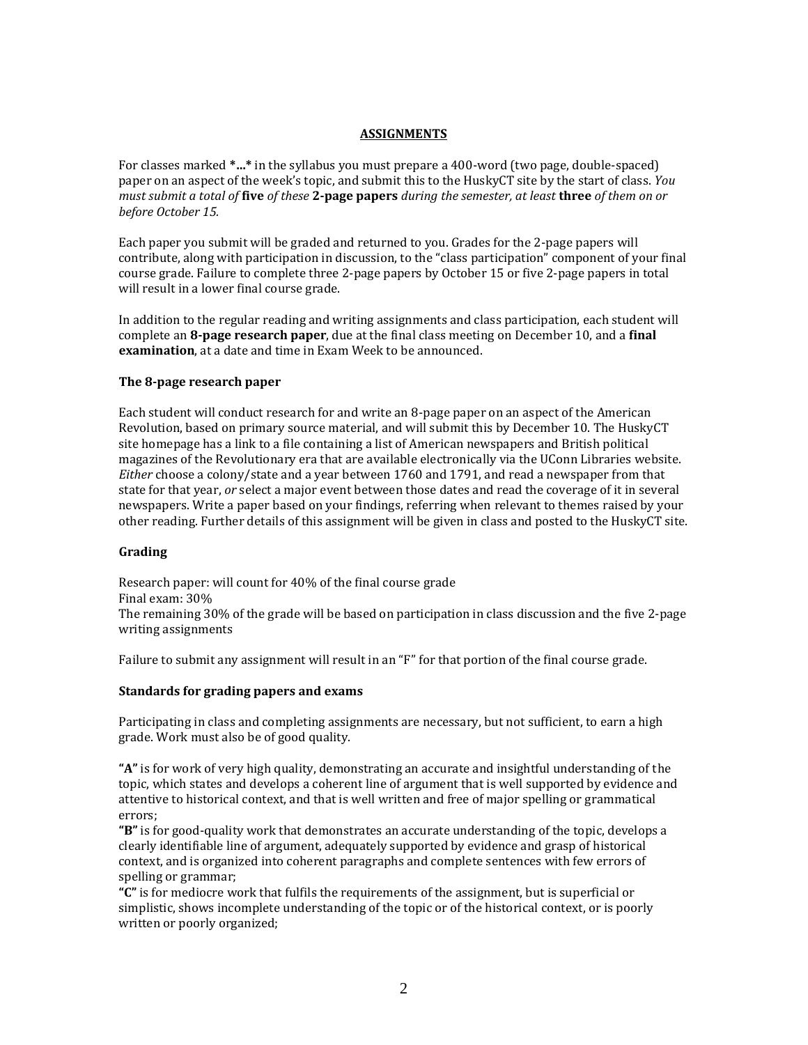## **ASSIGNMENTS**

For classes marked **\*…\*** in the syllabus you must prepare a 400-word (two page, double-spaced) paper on an aspect of the week's topic, and submit this to the HuskyCT site by the start of class. *You must submit a total of* **five** *of these* **2-page papers** *during the semester, at least* **three** *of them on or before October 15.*

Each paper you submit will be graded and returned to you. Grades for the 2-page papers will contribute, along with participation in discussion, to the "class participation" component of your final course grade. Failure to complete three 2-page papers by October 15 or five 2-page papers in total will result in a lower final course grade.

In addition to the regular reading and writing assignments and class participation, each student will complete an **8-page research paper**, due at the final class meeting on December 10, and a **final examination**, at a date and time in Exam Week to be announced.

## **The 8-page research paper**

Each student will conduct research for and write an 8-page paper on an aspect of the American Revolution, based on primary source material, and will submit this by December 10. The HuskyCT site homepage has a link to a file containing a list of American newspapers and British political magazines of the Revolutionary era that are available electronically via the UConn Libraries website. *Either* choose a colony/state and a year between 1760 and 1791, and read a newspaper from that state for that year, *or* select a major event between those dates and read the coverage of it in several newspapers. Write a paper based on your findings, referring when relevant to themes raised by your other reading. Further details of this assignment will be given in class and posted to the HuskyCT site.

## **Grading**

Research paper: will count for 40% of the final course grade Final exam: 30% The remaining 30% of the grade will be based on participation in class discussion and the five 2-page writing assignments

Failure to submit any assignment will result in an "F" for that portion of the final course grade.

## **Standards for grading papers and exams**

Participating in class and completing assignments are necessary, but not sufficient, to earn a high grade. Work must also be of good quality.

**"A"** is for work of very high quality, demonstrating an accurate and insightful understanding of the topic, which states and develops a coherent line of argument that is well supported by evidence and attentive to historical context, and that is well written and free of major spelling or grammatical errors;

**"B"** is for good-quality work that demonstrates an accurate understanding of the topic, develops a clearly identifiable line of argument, adequately supported by evidence and grasp of historical context, and is organized into coherent paragraphs and complete sentences with few errors of spelling or grammar;

**"C"** is for mediocre work that fulfils the requirements of the assignment, but is superficial or simplistic, shows incomplete understanding of the topic or of the historical context, or is poorly written or poorly organized;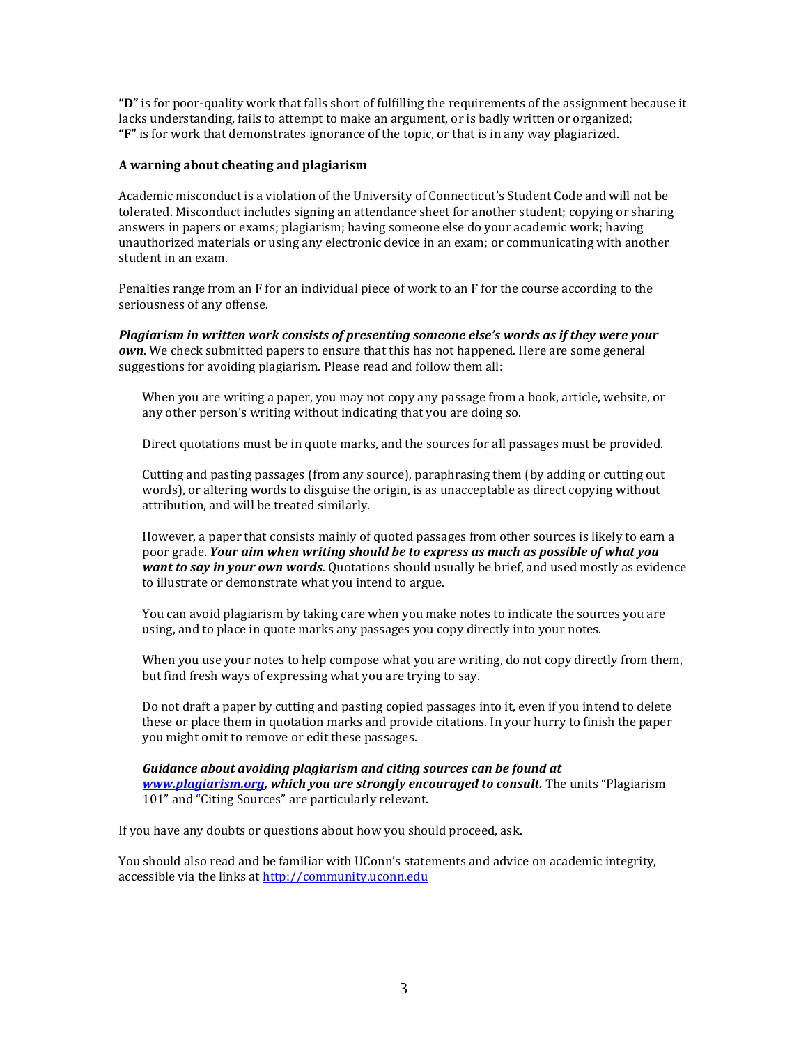**"D"** is for poor-quality work that falls short of fulfilling the requirements of the assignment because it lacks understanding, fails to attempt to make an argument, or is badly written or organized; **"F"** is for work that demonstrates ignorance of the topic, or that is in any way plagiarized.

### **A warning about cheating and plagiarism**

Academic misconduct is a violation of the University of Connecticut's Student Code and will not be tolerated. Misconduct includes signing an attendance sheet for another student; copying or sharing answers in papers or exams; plagiarism; having someone else do your academic work; having unauthorized materials or using any electronic device in an exam; or communicating with another student in an exam.

Penalties range from an F for an individual piece of work to an F for the course according to the seriousness of any offense.

*Plagiarism in written work consists of presenting someone else's words as if they were your own*. We check submitted papers to ensure that this has not happened. Here are some general suggestions for avoiding plagiarism. Please read and follow them all:

When you are writing a paper, you may not copy any passage from a book, article, website, or any other person's writing without indicating that you are doing so.

Direct quotations must be in quote marks, and the sources for all passages must be provided.

Cutting and pasting passages (from any source), paraphrasing them (by adding or cutting out words), or altering words to disguise the origin, is as unacceptable as direct copying without attribution, and will be treated similarly.

However, a paper that consists mainly of quoted passages from other sources is likely to earn a poor grade. *Your aim when writing should be to express as much as possible of what you want to say in your own words.* Quotations should usually be brief, and used mostly as evidence to illustrate or demonstrate what you intend to argue.

You can avoid plagiarism by taking care when you make notes to indicate the sources you are using, and to place in quote marks any passages you copy directly into your notes.

When you use your notes to help compose what you are writing, do not copy directly from them, but find fresh ways of expressing what you are trying to say.

Do not draft a paper by cutting and pasting copied passages into it, even if you intend to delete these or place them in quotation marks and provide citations. In your hurry to finish the paper you might omit to remove or edit these passages.

*Guidance about avoiding plagiarism and citing sources can be found at [www.plagiarism.org,](http://www.plagiarism.org/) which you are strongly encouraged to consult.* The units "Plagiarism 101" and "Citing Sources" are particularly relevant.

If you have any doubts or questions about how you should proceed, ask.

You should also read and be familiar with UConn's statements and advice on academic integrity, accessible via the links a[t http://community.uconn.edu](http://community.uconn.edu/)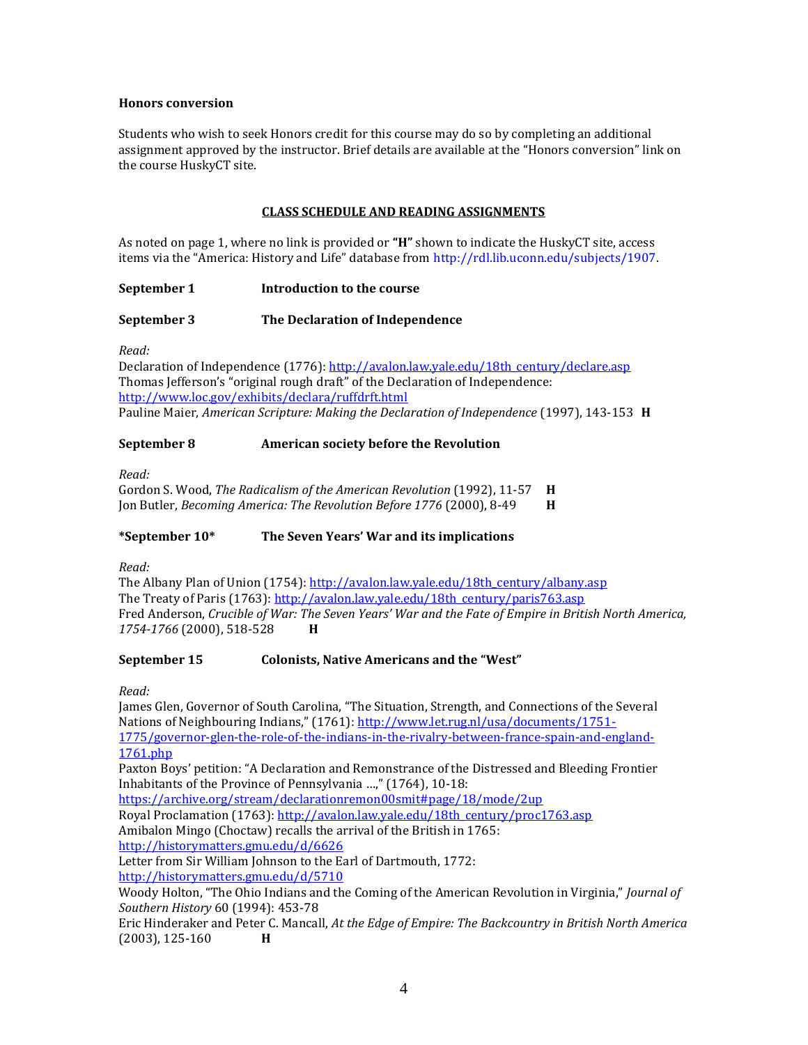### **Honors conversion**

Students who wish to seek Honors credit for this course may do so by completing an additional assignment approved by the instructor. Brief details are available at the "Honors conversion" link on the course HuskyCT site.

## **CLASS SCHEDULE AND READING ASSIGNMENTS**

As noted on page 1, where no link is provided or **"H"** shown to indicate the HuskyCT site, access items via the "America: History and Life" database from [http://rdl.lib.uconn.edu/subjects/1907.](http://rdl.lib.uconn.edu/subjects/1907)

## **September 1 Introduction to the course**

## **September 3 The Declaration of Independence**

*Read:* 

Declaration of Independence (1776)[: http://avalon.law.yale.edu/18th\\_century/declare.asp](http://avalon.law.yale.edu/18th_century/declare.asp) Thomas Jefferson's "original rough draft" of the Declaration of Independence: <http://www.loc.gov/exhibits/declara/ruffdrft.html> Pauline Maier, *American Scripture: Making the Declaration of Independence* (1997), 143-153 **H**

## **September 8 American society before the Revolution**

*Read:* 

Gordon S. Wood, *The Radicalism of the American Revolution* (1992), 11-57 **H** Jon Butler, *Becoming America: The Revolution Before 1776* (2000), 8-49 **H**

## **\*September 10\* The Seven Years' War and its implications**

*Read:*

The Albany Plan of Union (1754): [http://avalon.law.yale.edu/18th\\_century/albany.asp](http://avalon.law.yale.edu/18th_century/albany.asp) The Treaty of Paris (1763): [http://avalon.law.yale.edu/18th\\_century/paris763.asp](http://avalon.law.yale.edu/18th_century/paris763.asp) Fred Anderson, *Crucible of War: The Seven Years' War and the Fate of Empire in British North America, 1754-1766* (2000), 518-528 **H**

## **September 15 Colonists, Native Americans and the "West"**

*Read:*

James Glen, Governor of South Carolina, "The Situation, Strength, and Connections of the Several Nations of Neighbouring Indians," (1761): [http://www.let.rug.nl/usa/documents/1751-](http://www.let.rug.nl/usa/documents/1751-1775/governor-glen-the-role-of-the-indians-in-the-rivalry-between-france-spain-and-england-1761.php) [1775/governor-glen-the-role-of-the-indians-in-the-rivalry-between-france-spain-and-england-](http://www.let.rug.nl/usa/documents/1751-1775/governor-glen-the-role-of-the-indians-in-the-rivalry-between-france-spain-and-england-1761.php)[1761.php](http://www.let.rug.nl/usa/documents/1751-1775/governor-glen-the-role-of-the-indians-in-the-rivalry-between-france-spain-and-england-1761.php) Paxton Boys' petition: "A Declaration and Remonstrance of the Distressed and Bleeding Frontier Inhabitants of the Province of Pennsylvania …," (1764), 10-18: <https://archive.org/stream/declarationremon00smit#page/18/mode/2up> Royal Proclamation (1763): [http://avalon.law.yale.edu/18th\\_century/proc1763.asp](http://avalon.law.yale.edu/18th_century/proc1763.asp) Amibalon Mingo (Choctaw) recalls the arrival of the British in 1765: <http://historymatters.gmu.edu/d/6626> Letter from Sir William Johnson to the Earl of Dartmouth, 1772: <http://historymatters.gmu.edu/d/5710> Woody Holton, "The Ohio Indians and the Coming of the American Revolution in Virginia," *Journal of Southern History* 60 (1994): 453-78 Eric Hinderaker and Peter C. Mancall, *At the Edge of Empire: The Backcountry in British North America* (2003), 125-160 **H**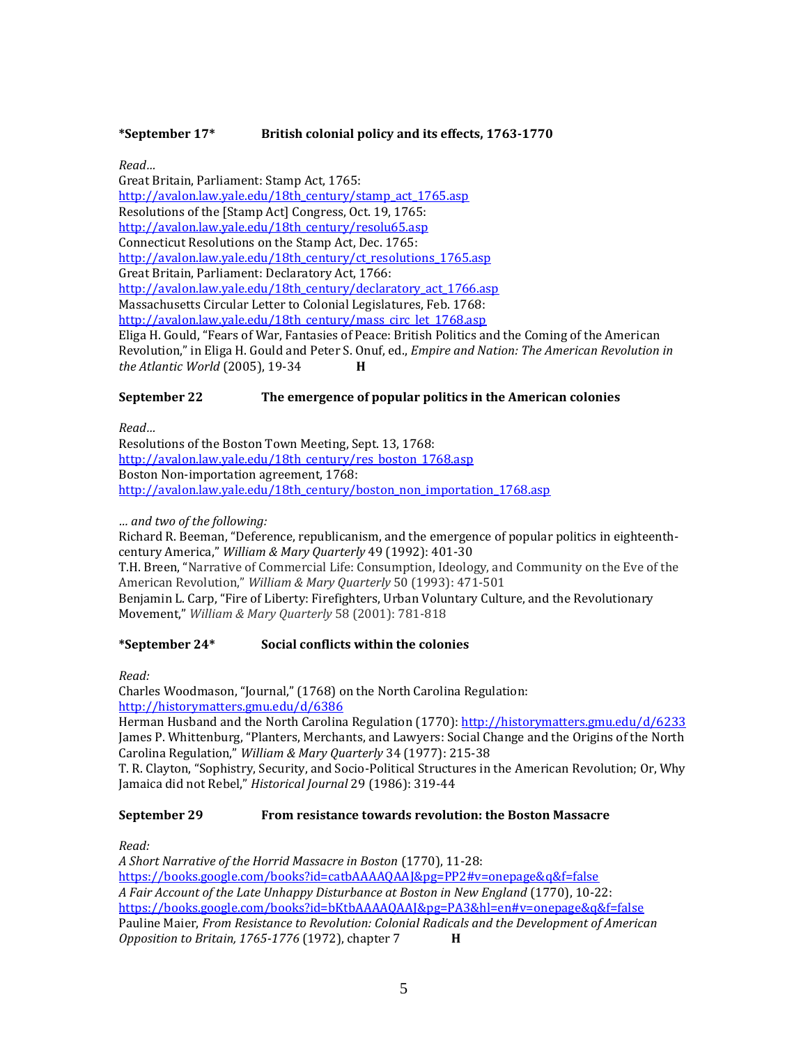## **\*September 17\* British colonial policy and its effects, 1763-1770**

*Read…*

Great Britain, Parliament: Stamp Act, 1765: [http://avalon.law.yale.edu/18th\\_century/stamp\\_act\\_1765.asp](http://avalon.law.yale.edu/18th_century/stamp_act_1765.asp) Resolutions of the [Stamp Act] Congress, Oct. 19, 1765: [http://avalon.law.yale.edu/18th\\_century/resolu65.asp](http://avalon.law.yale.edu/18th_century/resolu65.asp) Connecticut Resolutions on the Stamp Act, Dec. 1765: [http://avalon.law.yale.edu/18th\\_century/ct\\_resolutions\\_1765.asp](http://avalon.law.yale.edu/18th_century/ct_resolutions_1765.asp) Great Britain, Parliament: Declaratory Act, 1766: [http://avalon.law.yale.edu/18th\\_century/declaratory\\_act\\_1766.asp](http://avalon.law.yale.edu/18th_century/declaratory_act_1766.asp) Massachusetts Circular Letter to Colonial Legislatures, Feb. 1768: [http://avalon.law.yale.edu/18th\\_century/mass\\_circ\\_let\\_1768.asp](http://avalon.law.yale.edu/18th_century/mass_circ_let_1768.asp) Eliga H. Gould, "Fears of War, Fantasies of Peace: British Politics and the Coming of the American Revolution," in Eliga H. Gould and Peter S. Onuf, ed., *Empire and Nation: The American Revolution in the Atlantic World* (2005), 19-34 **H**

## **September 22 The emergence of popular politics in the American colonies**

*Read…*

Resolutions of the Boston Town Meeting, Sept. 13, 1768: [http://avalon.law.yale.edu/18th\\_century/res\\_boston\\_1768.asp](http://avalon.law.yale.edu/18th_century/res_boston_1768.asp) Boston Non-importation agreement, 1768: [http://avalon.law.yale.edu/18th\\_century/boston\\_non\\_importation\\_1768.asp](http://avalon.law.yale.edu/18th_century/boston_non_importation_1768.asp)

## *… and two of the following:*

Richard R. Beeman, "Deference, republicanism, and the emergence of popular politics in eighteenthcentury America," *William & Mary Quarterly* 49 (1992): 401-30 T.H. Breen, "Narrative of Commercial Life: Consumption, Ideology, and Community on the Eve of the American Revolution," *William & Mary Quarterly* 50 (1993): 471-501 Benjamin L. Carp, "Fire of Liberty: Firefighters, Urban Voluntary Culture, and the Revolutionary Movement," *William & Mary Quarterly* 58 (2001): 781-818

## **\*September 24\* Social conflicts within the colonies**

*Read:*

Charles Woodmason, "Journal," (1768) on the North Carolina Regulation: <http://historymatters.gmu.edu/d/6386>

Herman Husband and the North Carolina Regulation (1770): <http://historymatters.gmu.edu/d/6233> James P. Whittenburg, "Planters, Merchants, and Lawyers: Social Change and the Origins of the North Carolina Regulation," *William & Mary Quarterly* 34 (1977): 215-38

T. R. Clayton, "Sophistry, Security, and Socio-Political Structures in the American Revolution; Or, Why Jamaica did not Rebel," *Historical Journal* 29 (1986): 319-44

## **September 29 From resistance towards revolution: the Boston Massacre**

*Read:*

*A Short Narrative of the Horrid Massacre in Boston* (1770), 11-28: <https://books.google.com/books?id=catbAAAAQAAJ&pg=PP2#v=onepage&q&f=false> *A Fair Account of the Late Unhappy Disturbance at Boston in New England* (1770), 10-22: <https://books.google.com/books?id=bKtbAAAAQAAJ&pg=PA3&hl=en#v=onepage&q&f=false> Pauline Maier, *From Resistance to Revolution: Colonial Radicals and the Development of American Opposition to Britain, 1765-1776* (1972), chapter 7 **H**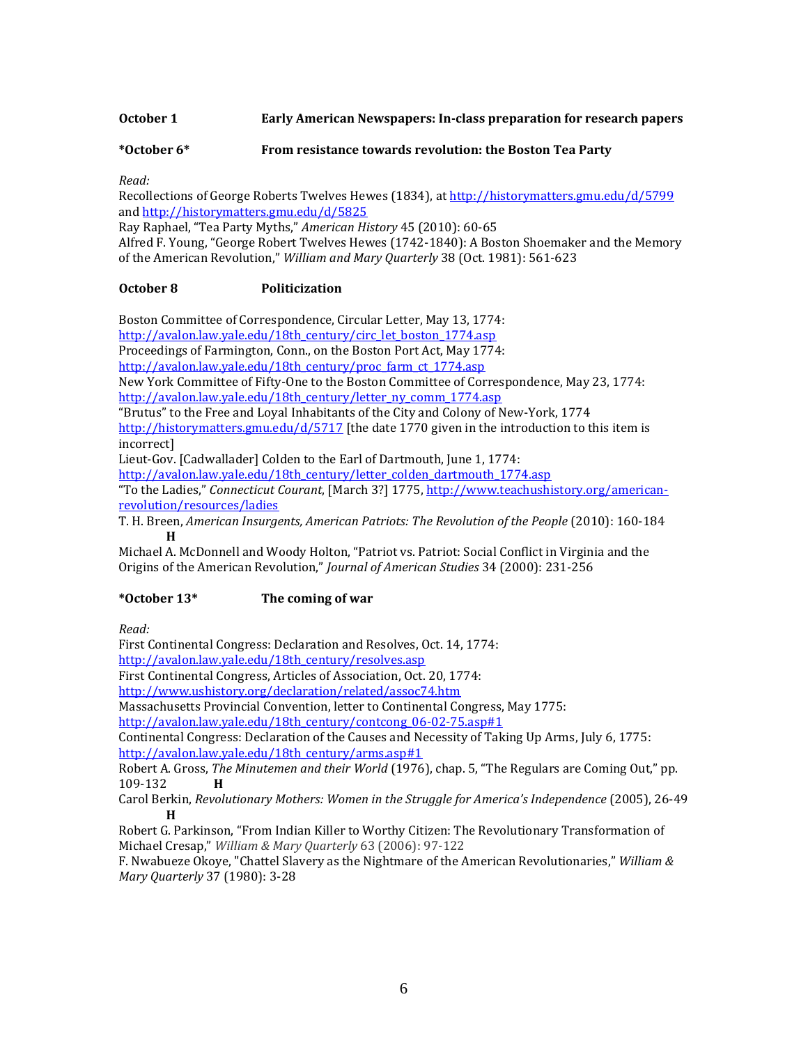**October 1 Early American Newspapers: In-class preparation for research papers**

**\*October 6\* From resistance towards revolution: the Boston Tea Party**

*Read:*

Recollections of George Roberts Twelves Hewes (1834), at<http://historymatters.gmu.edu/d/5799> and<http://historymatters.gmu.edu/d/5825>

Ray Raphael, "Tea Party Myths," *American History* 45 (2010): 60-65

Alfred F. Young, "George Robert Twelves Hewes (1742-1840): A Boston Shoemaker and the Memory of the American Revolution," *William and Mary Quarterly* 38 (Oct. 1981): 561-623

## **October 8 Politicization**

Boston Committee of Correspondence, Circular Letter, May 13, 1774:

[http://avalon.law.yale.edu/18th\\_century/circ\\_let\\_boston\\_1774.asp](http://avalon.law.yale.edu/18th_century/circ_let_boston_1774.asp)

Proceedings of Farmington, Conn., on the Boston Port Act, May 1774:

[http://avalon.law.yale.edu/18th\\_century/proc\\_farm\\_ct\\_1774.asp](http://avalon.law.yale.edu/18th_century/proc_farm_ct_1774.asp)

New York Committee of Fifty-One to the Boston Committee of Correspondence, May 23, 1774: http://avalon.law.vale.edu/18th\_century/letter\_ny\_comm\_1774.asp

"Brutus" to the Free and Loyal Inhabitants of the City and Colony of New-York, 1774 <http://historymatters.gmu.edu/d/5717> [the date 1770 given in the introduction to this item is incorrect]

Lieut-Gov. [Cadwallader] Colden to the Earl of Dartmouth, June 1, 1774:

[http://avalon.law.yale.edu/18th\\_century/letter\\_colden\\_dartmouth\\_1774.asp](http://avalon.law.yale.edu/18th_century/letter_colden_dartmouth_1774.asp)

"To the Ladies," *Connecticut Courant*, [March 3?] 1775[, http://www.teachushistory.org/american](http://www.teachushistory.org/american-revolution/resources/ladies)[revolution/resources/ladies](http://www.teachushistory.org/american-revolution/resources/ladies)

T. H. Breen, *American Insurgents, American Patriots: The Revolution of the People* (2010): 160-184 **H**

Michael A. McDonnell and Woody Holton, "Patriot vs. Patriot: Social Conflict in Virginia and the Origins of the American Revolution," *Journal of American Studies* 34 (2000): 231-256

## **\*October 13\* The coming of war**

*Read:*

First Continental Congress: Declaration and Resolves, Oct. 14, 1774:

[http://avalon.law.yale.edu/18th\\_century/resolves.asp](http://avalon.law.yale.edu/18th_century/resolves.asp)

First Continental Congress, Articles of Association, Oct. 20, 1774:

<http://www.ushistory.org/declaration/related/assoc74.htm>

Massachusetts Provincial Convention, letter to Continental Congress, May 1775:

[http://avalon.law.yale.edu/18th\\_century/contcong\\_06-02-75.asp#1](http://avalon.law.yale.edu/18th_century/contcong_06-02-75.asp#1)

Continental Congress: Declaration of the Causes and Necessity of Taking Up Arms, July 6, 1775: [http://avalon.law.yale.edu/18th\\_century/arms.asp#1](http://avalon.law.yale.edu/18th_century/arms.asp#1)

Robert A. Gross, *The Minutemen and their World* (1976), chap. 5, "The Regulars are Coming Out," pp. 109-132 **H**

Carol Berkin, *Revolutionary Mothers: Women in the Struggle for America's Independence* (2005), 26-49 **H**

Robert G. Parkinson, "From Indian Killer to Worthy Citizen: The Revolutionary Transformation of Michael Cresap," *William & Mary Quarterly* 63 (2006): 97-122

F. Nwabueze Okoye, "Chattel Slavery as the Nightmare of the American Revolutionaries," *William & Mary Quarterly* 37 (1980): 3-28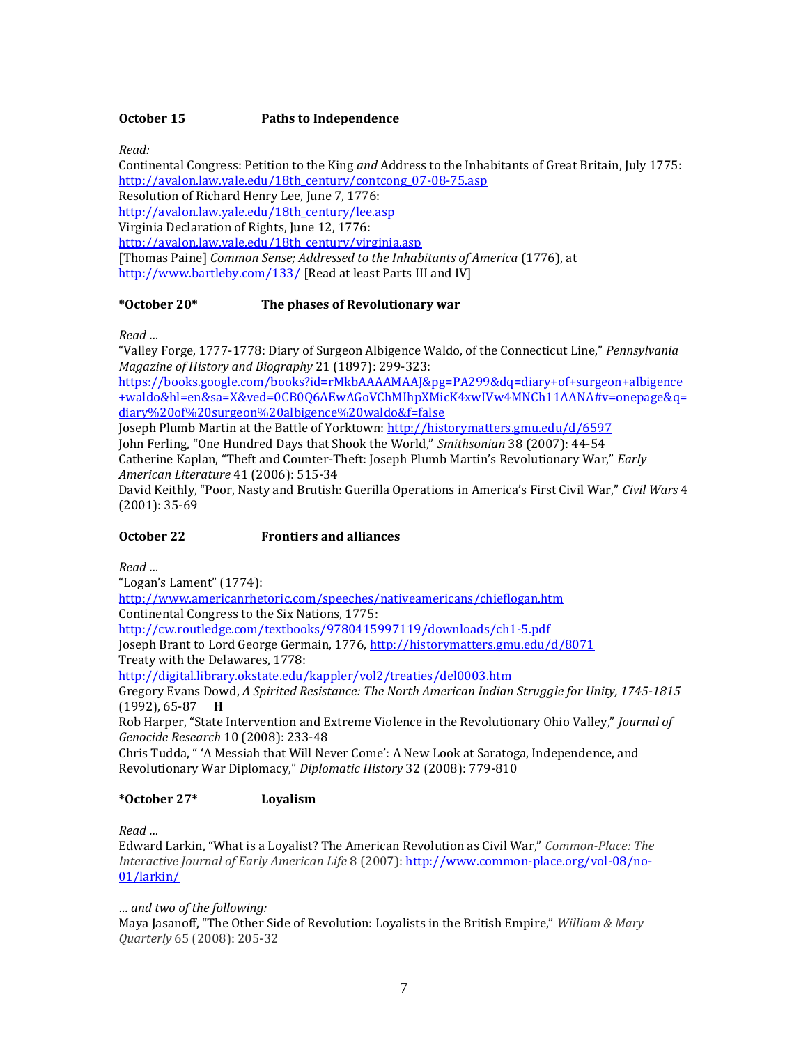## **October 15 Paths to Independence**

*Read:*

Continental Congress: Petition to the King *and* Address to the Inhabitants of Great Britain, July 1775: [http://avalon.law.yale.edu/18th\\_century/contcong\\_07-08-75.asp](http://avalon.law.yale.edu/18th_century/contcong_07-08-75.asp) Resolution of Richard Henry Lee, June 7, 1776: [http://avalon.law.yale.edu/18th\\_century/lee.asp](http://avalon.law.yale.edu/18th_century/lee.asp) Virginia Declaration of Rights, June 12, 1776: [http://avalon.law.yale.edu/18th\\_century/virginia.asp](http://avalon.law.yale.edu/18th_century/virginia.asp) [Thomas Paine] *Common Sense; Addressed to the Inhabitants of America* (1776), at <http://www.bartleby.com/133/> [Read at least Parts III and IV]

## **\*October 20\* The phases of Revolutionary war**

*Read …*

"Valley Forge, 1777-1778: Diary of Surgeon Albigence Waldo, of the Connecticut Line," *Pennsylvania Magazine of History and Biography* 21 (1897): 299-323:

[https://books.google.com/books?id=rMkbAAAAMAAJ&pg=PA299&dq=diary+of+surgeon+albigence](https://books.google.com/books?id=rMkbAAAAMAAJ&pg=PA299&dq=diary+of+surgeon+albigence+waldo&hl=en&sa=X&ved=0CB0Q6AEwAGoVChMIhpXMicK4xwIVw4MNCh11AANA#v=onepage&q=diary%20of%20surgeon%20albigence%20waldo&f=false) [+waldo&hl=en&sa=X&ved=0CB0Q6AEwAGoVChMIhpXMicK4xwIVw4MNCh11AANA#v=onepage&q=](https://books.google.com/books?id=rMkbAAAAMAAJ&pg=PA299&dq=diary+of+surgeon+albigence+waldo&hl=en&sa=X&ved=0CB0Q6AEwAGoVChMIhpXMicK4xwIVw4MNCh11AANA#v=onepage&q=diary%20of%20surgeon%20albigence%20waldo&f=false) [diary%20of%20surgeon%20albigence%20waldo&f=false](https://books.google.com/books?id=rMkbAAAAMAAJ&pg=PA299&dq=diary+of+surgeon+albigence+waldo&hl=en&sa=X&ved=0CB0Q6AEwAGoVChMIhpXMicK4xwIVw4MNCh11AANA#v=onepage&q=diary%20of%20surgeon%20albigence%20waldo&f=false)

Joseph Plumb Martin at the Battle of Yorktown: <http://historymatters.gmu.edu/d/6597> John Ferling, "One Hundred Days that Shook the World," *Smithsonian* 38 (2007): 44-54 Catherine Kaplan, "Theft and Counter-Theft: Joseph Plumb Martin's Revolutionary War," *Early American Literature* 41 (2006): 515-34

David Keithly, "Poor, Nasty and Brutish: Guerilla Operations in America's First Civil War," *Civil Wars* 4 (2001): 35-69

## **October 22 Frontiers and alliances**

*Read …* 

"Logan's Lament" (1774): <http://www.americanrhetoric.com/speeches/nativeamericans/chieflogan.htm> Continental Congress to the Six Nations, 1775: <http://cw.routledge.com/textbooks/9780415997119/downloads/ch1-5.pdf> Joseph Brant to Lord George Germain, 1776[, http://historymatters.gmu.edu/d/8071](http://historymatters.gmu.edu/d/8071) Treaty with the Delawares, 1778: <http://digital.library.okstate.edu/kappler/vol2/treaties/del0003.htm> Gregory Evans Dowd, *A Spirited Resistance: The North American Indian Struggle for Unity, 1745-1815* (1992), 65-87 **H** Rob Harper, "State Intervention and Extreme Violence in the Revolutionary Ohio Valley," *Journal of Genocide Research* 10 (2008): 233-48

Chris Tudda, " 'A Messiah that Will Never Come': A New Look at Saratoga, Independence, and Revolutionary War Diplomacy," *Diplomatic History* 32 (2008): 779-810

## **\*October 27\* Loyalism**

*Read …*

Edward Larkin, "What is a Loyalist? The American Revolution as Civil War," *Common-Place: The Interactive Journal of Early American Life* 8 (2007): [http://www.common-place.org/vol-08/no-](http://www.common-place.org/vol-08/no-01/larkin/)[01/larkin/](http://www.common-place.org/vol-08/no-01/larkin/)

*… and two of the following:*

Maya Jasanoff, "The Other Side of Revolution: Loyalists in the British Empire," *William & Mary Quarterly* 65 (2008): 205-32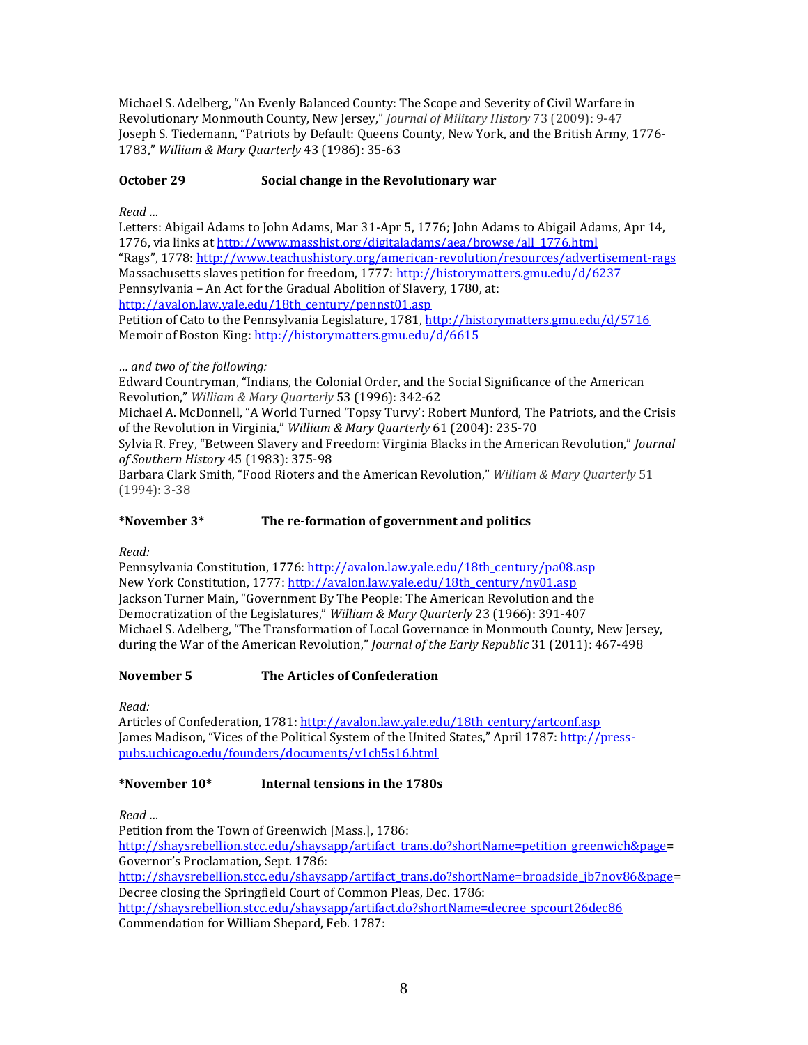Michael S. Adelberg, "An Evenly Balanced County: The Scope and Severity of Civil Warfare in Revolutionary Monmouth County, New Jersey," *Journal of Military History* 73 (2009): 9-47 Joseph S. Tiedemann, "Patriots by Default: Queens County, New York, and the British Army, 1776- 1783," *William & Mary Quarterly* 43 (1986): 35-63

# **October 29 Social change in the Revolutionary war**

*Read …*

Letters: Abigail Adams to John Adams, Mar 31-Apr 5, 1776; John Adams to Abigail Adams, Apr 14, 1776, via links a[t http://www.masshist.org/digitaladams/aea/browse/all\\_1776.html](http://www.masshist.org/digitaladams/aea/browse/all_1776.html) "Rags", 1778:<http://www.teachushistory.org/american-revolution/resources/advertisement-rags> Massachusetts slaves petition for freedom, 1777: <http://historymatters.gmu.edu/d/6237> Pennsylvania – An Act for the Gradual Abolition of Slavery, 1780, at: [http://avalon.law.yale.edu/18th\\_century/pennst01.asp](http://avalon.law.yale.edu/18th_century/pennst01.asp)

Petition of Cato to the Pennsylvania Legislature, 1781[, http://historymatters.gmu.edu/d/5716](http://historymatters.gmu.edu/d/5716) Memoir of Boston King:<http://historymatters.gmu.edu/d/6615>

## *… and two of the following:*

Edward Countryman, "Indians, the Colonial Order, and the Social Significance of the American Revolution," *William & Mary Quarterly* 53 (1996): 342-62

Michael A. McDonnell, "A World Turned 'Topsy Turvy': Robert Munford, The Patriots, and the Crisis of the Revolution in Virginia," *William & Mary Quarterly* 61 (2004): 235-70

Sylvia R. Frey, "Between Slavery and Freedom: Virginia Blacks in the American Revolution," *Journal of Southern History* 45 (1983): 375-98

Barbara Clark Smith, "Food Rioters and the American Revolution," *William & Mary Quarterly* 51 (1994): 3-38

## **\*November 3\* The re-formation of government and politics**

*Read:*

Pennsylvania Constitution, 1776: [http://avalon.law.yale.edu/18th\\_century/pa08.asp](http://avalon.law.yale.edu/18th_century/pa08.asp) New York Constitution, 1777: [http://avalon.law.yale.edu/18th\\_century/ny01.asp](http://avalon.law.yale.edu/18th_century/ny01.asp) Jackson Turner Main, "Government By The People: The American Revolution and the Democratization of the Legislatures," *William & Mary Quarterly* 23 (1966): 391-407 Michael S. Adelberg, "The Transformation of Local Governance in Monmouth County, New Jersey, during the War of the American Revolution," *Journal of the Early Republic* 31 (2011): 467-498

## **November 5 The Articles of Confederation**

*Read:*

Articles of Confederation, 1781[: http://avalon.law.yale.edu/18th\\_century/artconf.asp](http://avalon.law.yale.edu/18th_century/artconf.asp) James Madison, "Vices of the Political System of the United States," April 1787: [http://press](http://press-pubs.uchicago.edu/founders/documents/v1ch5s16.html)[pubs.uchicago.edu/founders/documents/v1ch5s16.html](http://press-pubs.uchicago.edu/founders/documents/v1ch5s16.html)

## **\*November 10\* Internal tensions in the 1780s**

*Read …*

Petition from the Town of Greenwich [Mass.], 1786: [http://shaysrebellion.stcc.edu/shaysapp/artifact\\_trans.do?shortName=petition\\_greenwich&page=](http://shaysrebellion.stcc.edu/shaysapp/artifact_trans.do?shortName=petition_greenwich&page) Governor's Proclamation, Sept. 1786: [http://shaysrebellion.stcc.edu/shaysapp/artifact\\_trans.do?shortName=broadside\\_jb7nov86&page=](http://shaysrebellion.stcc.edu/shaysapp/artifact_trans.do?shortName=broadside_jb7nov86&page) Decree closing the Springfield Court of Common Pleas, Dec. 1786: [http://shaysrebellion.stcc.edu/shaysapp/artifact.do?shortName=decree\\_spcourt26dec86](http://shaysrebellion.stcc.edu/shaysapp/artifact.do?shortName=decree_spcourt26dec86) Commendation for William Shepard, Feb. 1787: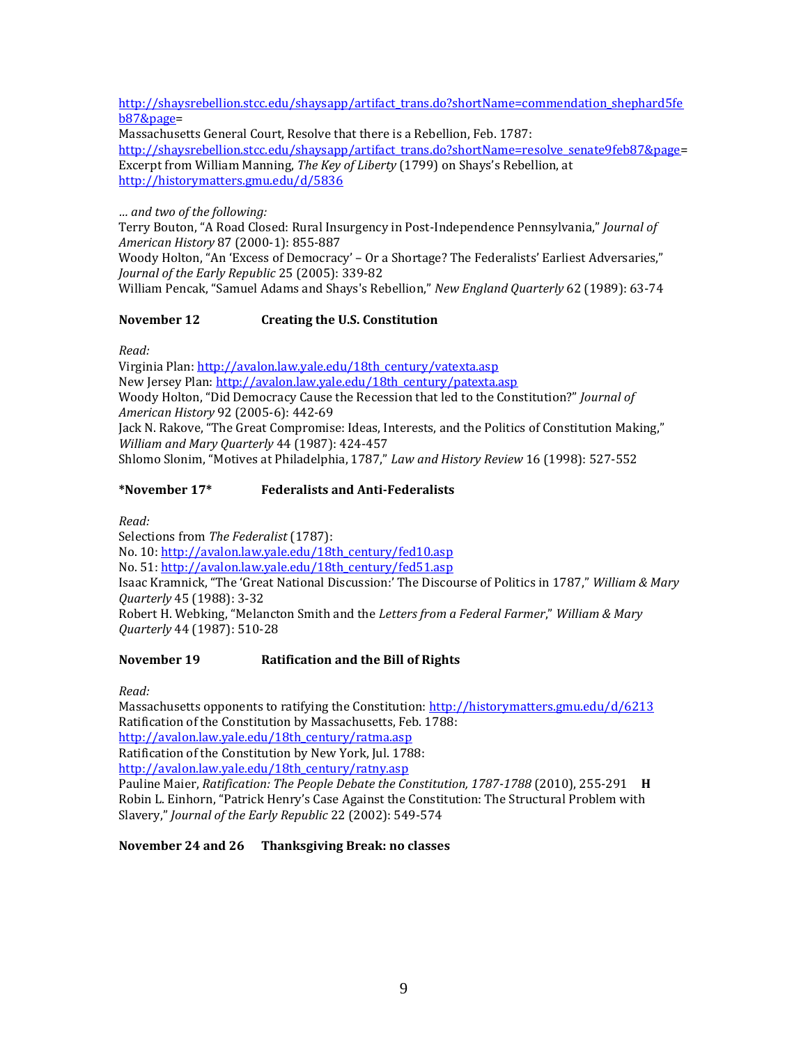[http://shaysrebellion.stcc.edu/shaysapp/artifact\\_trans.do?shortName=commendation\\_shephard5fe](http://shaysrebellion.stcc.edu/shaysapp/artifact_trans.do?shortName=commendation_shephard5feb87&page) [b87&page=](http://shaysrebellion.stcc.edu/shaysapp/artifact_trans.do?shortName=commendation_shephard5feb87&page)

Massachusetts General Court, Resolve that there is a Rebellion, Feb. 1787:

[http://shaysrebellion.stcc.edu/shaysapp/artifact\\_trans.do?shortName=resolve\\_senate9feb87&page=](http://shaysrebellion.stcc.edu/shaysapp/artifact_trans.do?shortName=resolve_senate9feb87&page) Excerpt from William Manning, *The Key of Liberty* (1799) on Shays's Rebellion, at <http://historymatters.gmu.edu/d/5836>

*… and two of the following:*

Terry Bouton, "A Road Closed: Rural Insurgency in Post-Independence Pennsylvania," *Journal of American History* 87 (2000-1): 855-887

Woody Holton, "An 'Excess of Democracy' – Or a Shortage? The Federalists' Earliest Adversaries," *Journal of the Early Republic* 25 (2005): 339-82

William Pencak, "Samuel Adams and Shays's Rebellion," *New England Quarterly* 62 (1989): 63-74

## **November 12 Creating the U.S. Constitution**

*Read:*

Virginia Plan: [http://avalon.law.yale.edu/18th\\_century/vatexta.asp](http://avalon.law.yale.edu/18th_century/vatexta.asp) New Jersey Plan: [http://avalon.law.yale.edu/18th\\_century/patexta.asp](http://avalon.law.yale.edu/18th_century/patexta.asp) Woody Holton, "Did Democracy Cause the Recession that led to the Constitution?" *Journal of American History* 92 (2005-6): 442-69 Jack N. Rakove, "The Great Compromise: Ideas, Interests, and the Politics of Constitution Making," *William and Mary Quarterly* 44 (1987): 424-457 Shlomo Slonim, "Motives at Philadelphia, 1787," *Law and History Review* 16 (1998): 527-552

# **\*November 17\* Federalists and Anti-Federalists**

*Read:*

Selections from *The Federalist* (1787): No. 10[: http://avalon.law.yale.edu/18th\\_century/fed10.asp](http://avalon.law.yale.edu/18th_century/fed10.asp) No. 51[: http://avalon.law.yale.edu/18th\\_century/fed51.asp](http://avalon.law.yale.edu/18th_century/fed51.asp) Isaac Kramnick, "The 'Great National Discussion:' The Discourse of Politics in 1787," *William & Mary Quarterly* 45 (1988): 3-32 Robert H. Webking, "Melancton Smith and the *Letters from a Federal Farmer*," *William & Mary Quarterly* 44 (1987): 510-28

# **November 19 Ratification and the Bill of Rights**

*Read:*

Massachusetts opponents to ratifying the Constitution: <http://historymatters.gmu.edu/d/6213> Ratification of the Constitution by Massachusetts, Feb. 1788: [http://avalon.law.yale.edu/18th\\_century/ratma.asp](http://avalon.law.yale.edu/18th_century/ratma.asp) Ratification of the Constitution by New York, Jul. 1788:

[http://avalon.law.yale.edu/18th\\_century/ratny.asp](http://avalon.law.yale.edu/18th_century/ratny.asp)

Pauline Maier, *Ratification: The People Debate the Constitution, 1787-1788* (2010), 255-291 **H** Robin L. Einhorn, "Patrick Henry's Case Against the Constitution: The Structural Problem with Slavery," *Journal of the Early Republic* 22 (2002): 549-574

**November 24 and 26 Thanksgiving Break: no classes**